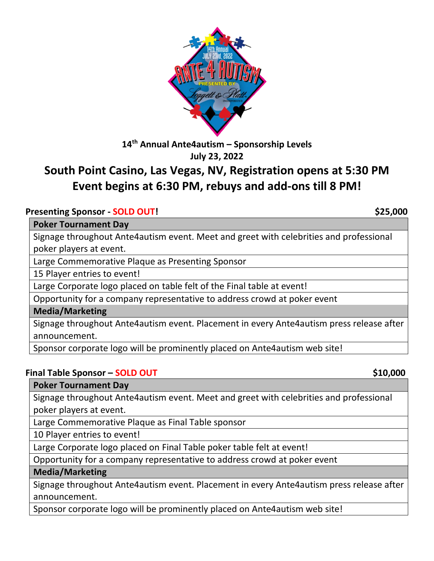

**14 th Annual Ante4autism – Sponsorship Levels July 23, 2022**

# **South Point Casino, Las Vegas, NV, Registration opens at 5:30 PM Event begins at 6:30 PM, rebuys and add-ons till 8 PM!**

#### **Presenting Sponsor - SOLD OUT! \$25,000**

#### **Poker Tournament Day**

Signage throughout Ante4autism event. Meet and greet with celebrities and professional poker players at event.

Large Commemorative Plaque as Presenting Sponsor

15 Player entries to event!

Large Corporate logo placed on table felt of the Final table at event!

Opportunity for a company representative to address crowd at poker event

#### **Media/Marketing**

Signage throughout Ante4autism event. Placement in every Ante4autism press release after announcement.

Sponsor corporate logo will be prominently placed on Ante4autism web site!

#### **Final Table Sponsor – SOLD OUT \$10,000**

**Poker Tournament Day** 

Signage throughout Ante4autism event. Meet and greet with celebrities and professional poker players at event.

Large Commemorative Plaque as Final Table sponsor

10 Player entries to event!

Large Corporate logo placed on Final Table poker table felt at event!

Opportunity for a company representative to address crowd at poker event

**Media/Marketing** 

Signage throughout Ante4autism event. Placement in every Ante4autism press release after announcement.

Sponsor corporate logo will be prominently placed on Ante4autism web site!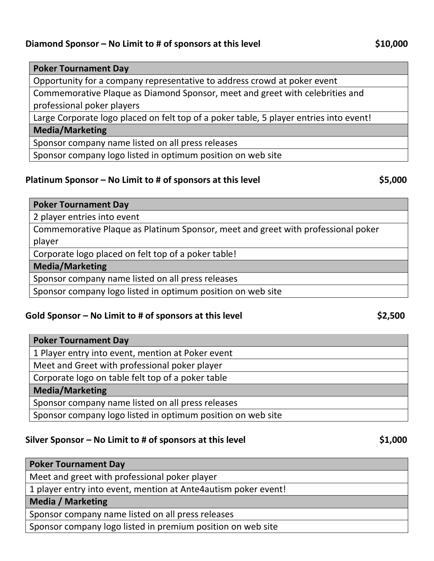### **Diamond Sponsor** – No Limit to # of sponsors at this level \$10,000

#### **Poker Tournament Day**

Opportunity for a company representative to address crowd at poker event

Commemorative Plaque as Diamond Sponsor, meet and greet with celebrities and professional poker players

Large Corporate logo placed on felt top of a poker table, 5 player entries into event!

#### **Media/Marketing**

Sponsor company name listed on all press releases

Sponsor company logo listed in optimum position on web site

#### **Platinum Sponsor – No Limit to # of sponsors at this level \$5,000**

#### **Poker Tournament Day**

2 player entries into event

Commemorative Plaque as Platinum Sponsor, meet and greet with professional poker player

Corporate logo placed on felt top of a poker table!

#### **Media/Marketing**

Sponsor company name listed on all press releases

Sponsor company logo listed in optimum position on web site

#### **Gold Sponsor – No Limit to # of sponsors at this level \$2,500**

# **Poker Tournament Day** 1 Player entry into event, mention at Poker event Meet and Greet with professional poker player Corporate logo on table felt top of a poker table **Media/Marketing** Sponsor company name listed on all press releases Sponsor company logo listed in optimum position on web site

#### **Silver Sponsor – No Limit to # of sponsors at this level \$1,000**

| <b>Poker Tournament Day</b>                                     |
|-----------------------------------------------------------------|
| Meet and greet with professional poker player                   |
| 1 player entry into event, mention at Ante4 autism poker event! |
| <b>Media / Marketing</b>                                        |

Sponsor company name listed on all press releases

Sponsor company logo listed in premium position on web site